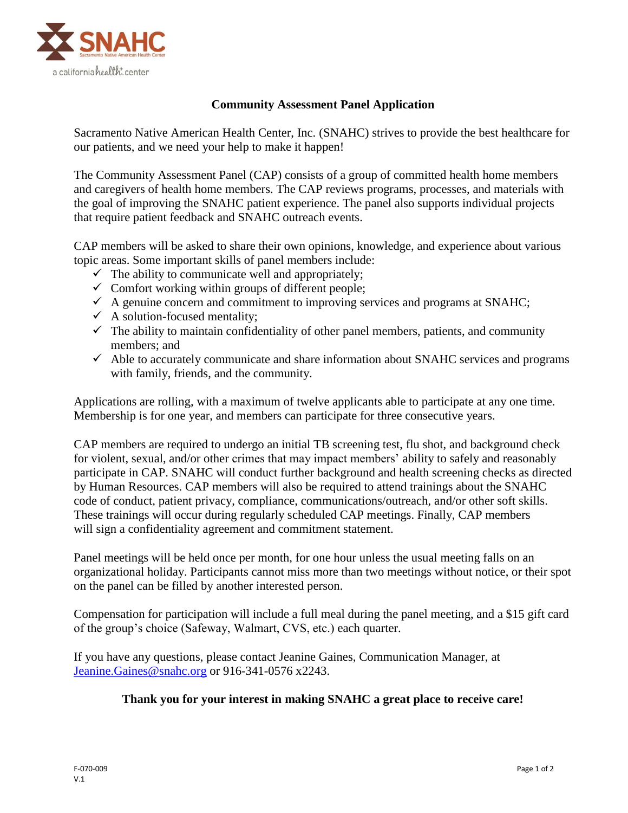

## **Community Assessment Panel Application**

Sacramento Native American Health Center, Inc. (SNAHC) strives to provide the best healthcare for our patients, and we need your help to make it happen!

The Community Assessment Panel (CAP) consists of a group of committed health home members and caregivers of health home members. The CAP reviews programs, processes, and materials with the goal of improving the SNAHC patient experience. The panel also supports individual projects that require patient feedback and SNAHC outreach events.

CAP members will be asked to share their own opinions, knowledge, and experience about various topic areas. Some important skills of panel members include:

- $\checkmark$  The ability to communicate well and appropriately;
- $\checkmark$  Comfort working within groups of different people;
- $\checkmark$  A genuine concern and commitment to improving services and programs at SNAHC;
- $\checkmark$  A solution-focused mentality;
- $\checkmark$  The ability to maintain confidentiality of other panel members, patients, and community members; and
- $\checkmark$  Able to accurately communicate and share information about SNAHC services and programs with family, friends, and the community.

Applications are rolling, with a maximum of twelve applicants able to participate at any one time. Membership is for one year, and members can participate for three consecutive years.

CAP members are required to undergo an initial TB screening test, flu shot, and background check for violent, sexual, and/or other crimes that may impact members' ability to safely and reasonably participate in CAP. SNAHC will conduct further background and health screening checks as directed by Human Resources. CAP members will also be required to attend trainings about the SNAHC code of conduct, patient privacy, compliance, communications/outreach, and/or other soft skills. These trainings will occur during regularly scheduled CAP meetings. Finally, CAP members will sign a confidentiality agreement and commitment statement.

Panel meetings will be held once per month, for one hour unless the usual meeting falls on an organizational holiday. Participants cannot miss more than two meetings without notice, or their spot on the panel can be filled by another interested person.

Compensation for participation will include a full meal during the panel meeting, and a \$15 gift card of the group's choice (Safeway, Walmart, CVS, etc.) each quarter.

If you have any questions, please contact Jeanine Gaines, Communication Manager, at [Jeanine.Gaines@snahc.org](mailto:Jeanine.Gaines@snahc.org) or 916-341-0576 x2243.

## **Thank you for your interest in making SNAHC a great place to receive care!**